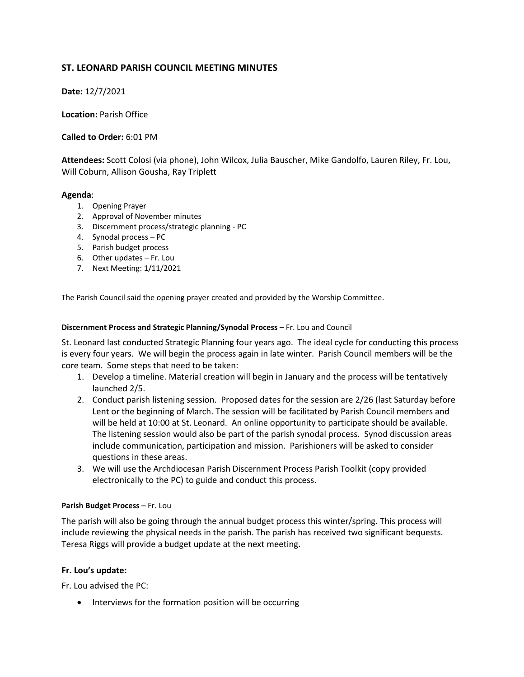# **ST. LEONARD PARISH COUNCIL MEETING MINUTES**

**Date:** 12/7/2021

**Location:** Parish Office

**Called to Order:** 6:01 PM

**Attendees:** Scott Colosi (via phone), John Wilcox, Julia Bauscher, Mike Gandolfo, Lauren Riley, Fr. Lou, Will Coburn, Allison Gousha, Ray Triplett

### **Agenda**:

- 1. Opening Prayer
- 2. Approval of November minutes
- 3. Discernment process/strategic planning PC
- 4. Synodal process PC
- 5. Parish budget process
- 6. Other updates Fr. Lou
- 7. Next Meeting: 1/11/2021

The Parish Council said the opening prayer created and provided by the Worship Committee.

#### **Discernment Process and Strategic Planning/Synodal Process** – Fr. Lou and Council

St. Leonard last conducted Strategic Planning four years ago. The ideal cycle for conducting this process is every four years. We will begin the process again in late winter. Parish Council members will be the core team. Some steps that need to be taken:

- 1. Develop a timeline. Material creation will begin in January and the process will be tentatively launched 2/5.
- 2. Conduct parish listening session. Proposed dates for the session are 2/26 (last Saturday before Lent or the beginning of March. The session will be facilitated by Parish Council members and will be held at 10:00 at St. Leonard. An online opportunity to participate should be available. The listening session would also be part of the parish synodal process. Synod discussion areas include communication, participation and mission. Parishioners will be asked to consider questions in these areas.
- 3. We will use the Archdiocesan Parish Discernment Process Parish Toolkit (copy provided electronically to the PC) to guide and conduct this process.

#### **Parish Budget Process** – Fr. Lou

The parish will also be going through the annual budget process this winter/spring. This process will include reviewing the physical needs in the parish. The parish has received two significant bequests. Teresa Riggs will provide a budget update at the next meeting.

#### **Fr. Lou's update:**

Fr. Lou advised the PC:

• Interviews for the formation position will be occurring